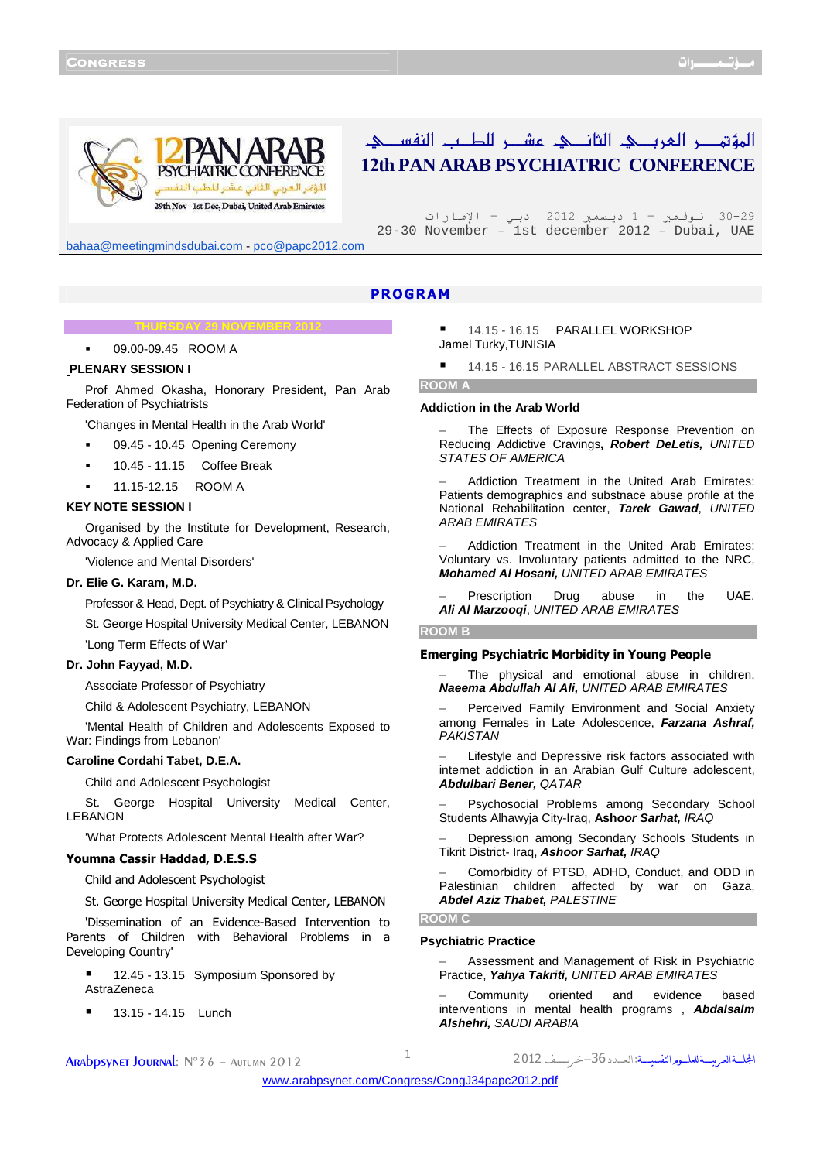

# المؤتهر العربك الثائك عشر للطب النفسك 12**th PAN ARAB PSYCHIATRIC CONFERENCE**

29–30 نـوفـمبر – 1 ديـسمبر 2012 دبـي – الإمارات 29-30 November – 1st december 2012 – Dubai, UAE

bahaa@meetingmindsdubai.com - pco@papc2012.com

## PROGRAM

#### **THURSDAY 29 NOVEMBER 2012**

09.00-09.45 ROOM A

## **PLENARY SESSION I**

Prof Ahmed Okasha, Honorary President, Pan Arab Federation of Psychiatrists

'Changes in Mental Health in the Arab World'

- 09.45 10.45 Opening Ceremony
- 10.45 11.15 Coffee Break
- 11.15-12.15 ROOM A

## **KEY NOTE SESSION I**

Organised by the Institute for Development, Research, Advocacy & Applied Care

'Violence and Mental Disorders'

#### **Dr. Elie G. Karam, M.D.**

Professor & Head, Dept. of Psychiatry & Clinical Psychology

St. George Hospital University Medical Center, LEBANON

'Long Term Effects of War'

## **Dr. John Fayyad, M.D.**

Associate Professor of Psychiatry

Child & Adolescent Psychiatry, LEBANON

'Mental Health of Children and Adolescents Exposed to War: Findings from Lebanon'

## **Caroline Cordahi Tabet, D.E.A.**

Child and Adolescent Psychologist

St. George Hospital University Medical Center, LEBANON

'What Protects Adolescent Mental Health after War?

## Youmna Cassir Haddad, D.E.S.S

Child and Adolescent Psychologist

St. George Hospital University Medical Center, LEBANON

'Dissemination of an Evidence-Based Intervention to Parents of Children with Behavioral Problems in a Developing Country'

■ 12.45 - 13.15 Symposium Sponsored by AstraZeneca

13.15 - 14.15 Lunch

 14.15 - 16.15 PARALLEL WORKSHOP Jamel Turky,TUNISIA

14.15 - 16.15 PARALLEL ABSTRACT SESSIONS

## **ROOM A**

#### **Addiction in the Arab World**

The Effects of Exposure Response Prevention on Reducing Addictive Cravings**, Robert DeLetis,** UNITED STATES OF AMERICA

− Addiction Treatment in the United Arab Emirates: Patients demographics and substnace abuse profile at the National Rehabilitation center, **Tarek Gawad**, UNITED ARAB EMIRATES

− Addiction Treatment in the United Arab Emirates: Voluntary vs. Involuntary patients admitted to the NRC, **Mohamed Al Hosani,** UNITED ARAB EMIRATES

− Prescription Drug abuse in the UAE, **Ali Al Marzooqi**, UNITED ARAB EMIRATES

#### **ROOM B**

## Emerging Psychiatric Morbidity in Young People

The physical and emotional abuse in children, **Naeema Abdullah Al Ali,** UNITED ARAB EMIRATES

− Perceived Family Environment and Social Anxiety among Females in Late Adolescence, **Farzana Ashraf, PAKISTAN** 

Lifestyle and Depressive risk factors associated with internet addiction in an Arabian Gulf Culture adolescent, **Abdulbari Bener,** QATAR

− Psychosocial Problems among Secondary School Students Alhawyja City-Iraq, **Ashoor Sarhat,** IRAQ

− Depression among Secondary Schools Students in Tikrit District- Iraq, **Ashoor Sarhat,** IRAQ

− Comorbidity of PTSD, ADHD, Conduct, and ODD in Palestinian children affected by war on Gaza, **Abdel Aziz Thabet,** PALESTINE

## **ROOM C**

## **Psychiatric Practice**

− Assessment and Management of Risk in Psychiatric Practice, **Yahya Takriti,** UNITED ARAB EMIRATES

− Community oriented and evidence based interventions in mental health programs , **Abdalsalm Alshehri,** SAUDI ARABIA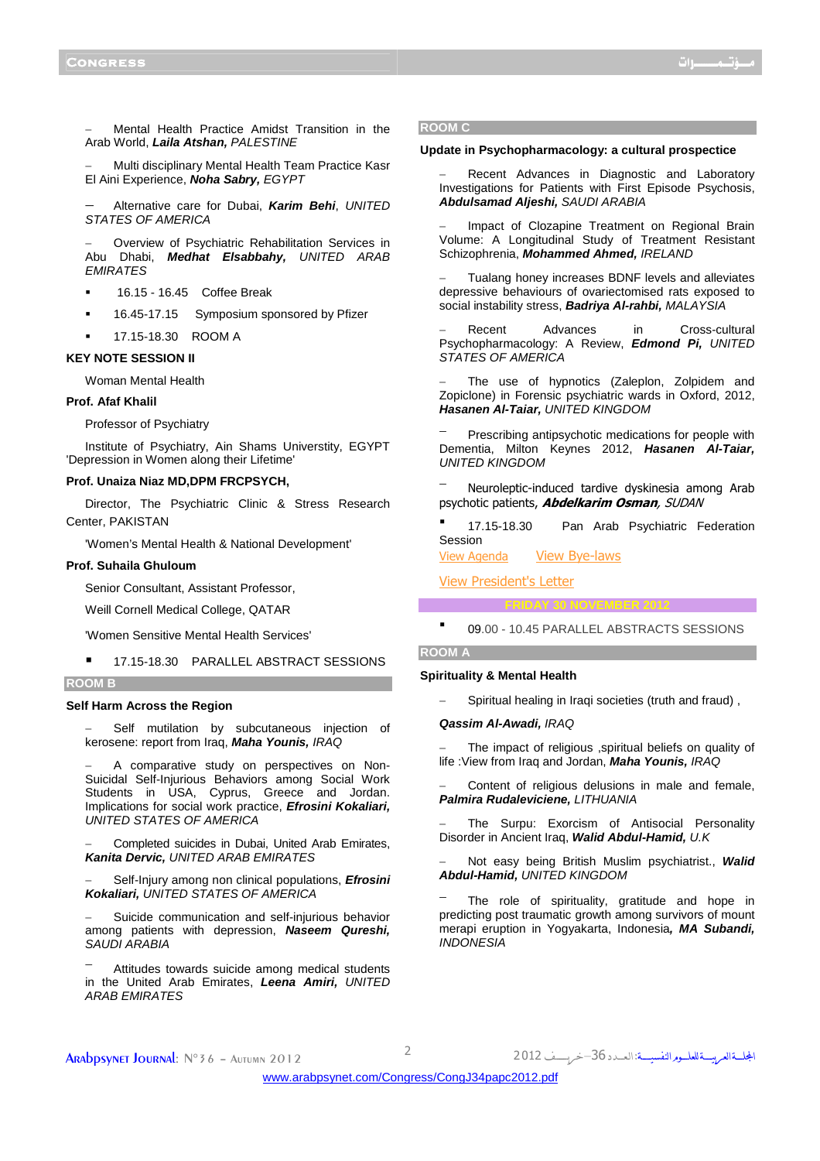− Mental Health Practice Amidst Transition in the Arab World, **Laila Atshan,** PALESTINE

− Multi disciplinary Mental Health Team Practice Kasr El Aini Experience, **Noha Sabry,** EGYPT

− Alternative care for Dubai, **Karim Behi**, UNITED STATES OF AMERICA

− Overview of Psychiatric Rehabilitation Services in Abu Dhabi, **Medhat Elsabbahy,** UNITED ARAB **FMIRATES** 

- 16.15 16.45 Coffee Break
- 16.45-17.15 Symposium sponsored by Pfizer
- 17.15-18.30 ROOM A

## **KEY NOTE SESSION II**

Woman Mental Health

#### **Prof. Afaf Khalil**

Professor of Psychiatry

Institute of Psychiatry, Ain Shams Universtity, EGYPT 'Depression in Women along their Lifetime'

## **Prof. Unaiza Niaz MD,DPM FRCPSYCH,**

Director, The Psychiatric Clinic & Stress Research Center, PAKISTAN

'Women's Mental Health & National Development'

## **Prof. Suhaila Ghuloum**

Senior Consultant, Assistant Professor,

Weill Cornell Medical College, QATAR

'Women Sensitive Mental Health Services'

17.15-18.30 PARALLEL ABSTRACT SESSIONS

#### **ROOM B**

### **Self Harm Across the Region**

Self mutilation by subcutaneous injection of kerosene: report from Iraq, **Maha Younis,** IRAQ

− A comparative study on perspectives on Non-Suicidal Self-Injurious Behaviors among Social Work Students in USA, Cyprus, Greece and Jordan. Implications for social work practice, **Efrosini Kokaliari,**  UNITED STATES OF AMERICA

− Completed suicides in Dubai, United Arab Emirates, **Kanita Dervic,** UNITED ARAB EMIRATES

− Self-Injury among non clinical populations, **Efrosini Kokaliari,** UNITED STATES OF AMERICA

Suicide communication and self-injurious behavior among patients with depression, **Naseem Qureshi,**  SAUDI ARABIA

Attitudes towards suicide among medical students in the United Arab Emirates, **Leena Amiri,** UNITED ARAB EMIRATES

#### **ROOM C**

#### **Update in Psychopharmacology: a cultural prospectice**

Recent Advances in Diagnostic and Laboratory Investigations for Patients with First Episode Psychosis, **Abdulsamad Aljeshi,** SAUDI ARABIA

Impact of Clozapine Treatment on Regional Brain Volume: A Longitudinal Study of Treatment Resistant Schizophrenia, **Mohammed Ahmed,** IRELAND

Tualang honey increases BDNF levels and alleviates depressive behaviours of ovariectomised rats exposed to social instability stress, **Badriya Al-rahbi,** MALAYSIA

− Recent Advances in Cross-cultural Psychopharmacology: A Review, **Edmond Pi,** UNITED STATES OF AMERICA

The use of hypnotics (Zaleplon, Zolpidem and Zopiclone) in Forensic psychiatric wards in Oxford, 2012, **Hasanen Al-Taiar,** UNITED KINGDOM

Prescribing antipsychotic medications for people with Dementia, Milton Keynes 2012, **Hasanen Al-Taiar,**  UNITED KINGDOM

<sup>−</sup> Neuroleptic-induced tardive dyskinesia among Arab psychotic patients, **Abdelkarim Osman**, SUDAN

 17.15-18.30 Pan Arab Psychiatric Federation Session

View Agenda - View Bye-laws

View President's Letter

**FRIDAY 30 NOVEMBER 2012** 

## **ROOM A**

## **Spirituality & Mental Health**

− Spiritual healing in Iraqi societies (truth and fraud) ,

## **Qassim Al-Awadi,** IRAQ

The impact of religious ,spiritual beliefs on quality of life :View from Iraq and Jordan, **Maha Younis,** IRAQ

Content of religious delusions in male and female, **Palmira Rudaleviciene,** LITHUANIA

The Surpu: Exorcism of Antisocial Personality Disorder in Ancient Iraq, **Walid Abdul-Hamid,** U.K

− Not easy being British Muslim psychiatrist., **Walid Abdul-Hamid,** UNITED KINGDOM

The role of spirituality, gratitude and hope in predicting post traumatic growth among survivors of mount merapi eruption in Yogyakarta, Indonesia**, MA Subandi, INDONESIA** 

09.00 - 10.45 PARALLEL ABSTRACTS SESSIONS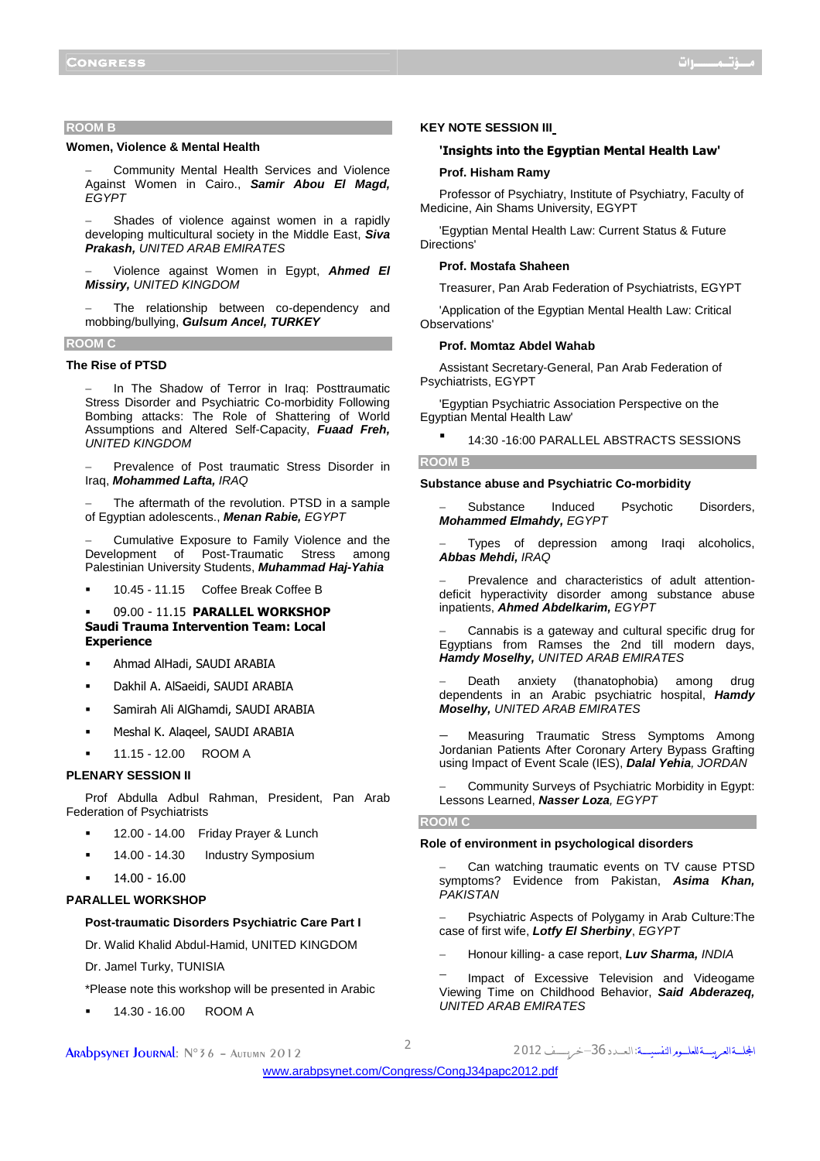## **ROOM B**

## **Women, Violence & Mental Health**

− Community Mental Health Services and Violence Against Women in Cairo., **Samir Abou El Magd, EGYPT** 

Shades of violence against women in a rapidly developing multicultural society in the Middle East, **Siva Prakash,** UNITED ARAB EMIRATES

− Violence against Women in Egypt, **Ahmed El Missiry,** UNITED KINGDOM

The relationship between co-dependency and mobbing/bullying, **Gulsum Ancel, TURKEY**

#### **ROOM C**

## **The Rise of PTSD**

In The Shadow of Terror in Iraq: Posttraumatic Stress Disorder and Psychiatric Co-morbidity Following Bombing attacks: The Role of Shattering of World Assumptions and Altered Self-Capacity, **Fuaad Freh,**  UNITED KINGDOM

− Prevalence of Post traumatic Stress Disorder in Iraq, **Mohammed Lafta,** IRAQ

The aftermath of the revolution. PTSD in a sample of Egyptian adolescents., **Menan Rabie,** EGYPT

− Cumulative Exposure to Family Violence and the Development of Post-Traumatic Stress among Palestinian University Students, **Muhammad Haj-Yahia**

10.45 - 11.15 Coffee Break Coffee B

 09.00 - 11.15 PARALLEL WORKSHOP Saudi Trauma Intervention Team: Local **Experience** 

- Ahmad AlHadi, SAUDI ARABIA
- Dakhil A. AlSaeidi, SAUDI ARABIA
- Samirah Ali AlGhamdi, SAUDI ARABIA
- Meshal K. Alaqeel, SAUDI ARABIA
- 11.15 12.00 ROOM A

## **PLENARY SESSION II**

Prof Abdulla Adbul Rahman, President, Pan Arab Federation of Psychiatrists

- 12.00 14.00 Friday Prayer & Lunch
- 14.00 14.30 Industry Symposium
- 14.00 16.00

## **PARALLEL WORKSHOP**

### **Post-traumatic Disorders Psychiatric Care Part I**

Dr. Walid Khalid Abdul-Hamid, UNITED KINGDOM

Dr. Jamel Turky, TUNISIA

\*Please note this workshop will be presented in Arabic

14.30 - 16.00 ROOM A

## **KEY NOTE SESSION III**

## 'Insights into the Egyptian Mental Health Law'

## **Prof. Hisham Ramy**

Professor of Psychiatry, Institute of Psychiatry, Faculty of Medicine, Ain Shams University, EGYPT

'Egyptian Mental Health Law: Current Status & Future Directions'

## **Prof. Mostafa Shaheen**

Treasurer, Pan Arab Federation of Psychiatrists, EGYPT

'Application of the Egyptian Mental Health Law: Critical Observations'

#### **Prof. Momtaz Abdel Wahab**

Assistant Secretary-General, Pan Arab Federation of Psychiatrists, EGYPT

'Egyptian Psychiatric Association Perspective on the Egyptian Mental Health Law'

14:30 -16:00 PARALLEL ABSTRACTS SESSIONS

#### **ROOM B**

## **Substance abuse and Psychiatric Co-morbidity**

− Substance Induced Psychotic Disorders, **Mohammed Elmahdy,** EGYPT

Types of depression among Iraqi alcoholics, **Abbas Mehdi,** IRAQ

− Prevalence and characteristics of adult attentiondeficit hyperactivity disorder among substance abuse inpatients, **Ahmed Abdelkarim,** EGYPT

− Cannabis is a gateway and cultural specific drug for Egyptians from Ramses the 2nd till modern days, **Hamdy Moselhy,** UNITED ARAB EMIRATES

Death anxiety (thanatophobia) among drug dependents in an Arabic psychiatric hospital, **Hamdy Moselhy,** UNITED ARAB EMIRATES

− Measuring Traumatic Stress Symptoms Among Jordanian Patients After Coronary Artery Bypass Grafting using Impact of Event Scale (IES), **Dalal Yehia**, JORDAN

− Community Surveys of Psychiatric Morbidity in Egypt: Lessons Learned, **Nasser Loza**, EGYPT

#### **ROOM C**

## **Role of environment in psychological disorders**

Can watching traumatic events on TV cause PTSD symptoms? Evidence from Pakistan, **Asima Khan,**  PAKISTAN

− Psychiatric Aspects of Polygamy in Arab Culture:The case of first wife, **Lotfy El Sherbiny**, EGYPT

− Honour killing- a case report, **Luv Sharma,** INDIA

<sup>−</sup> Impact of Excessive Television and Videogame Viewing Time on Childhood Behavior, **Said Abderazeq,**  UNITED ARAB EMIRATES

الجلسةالعربيسة للعلسوم النفسيسة: العسدد 36–خربسسف 2012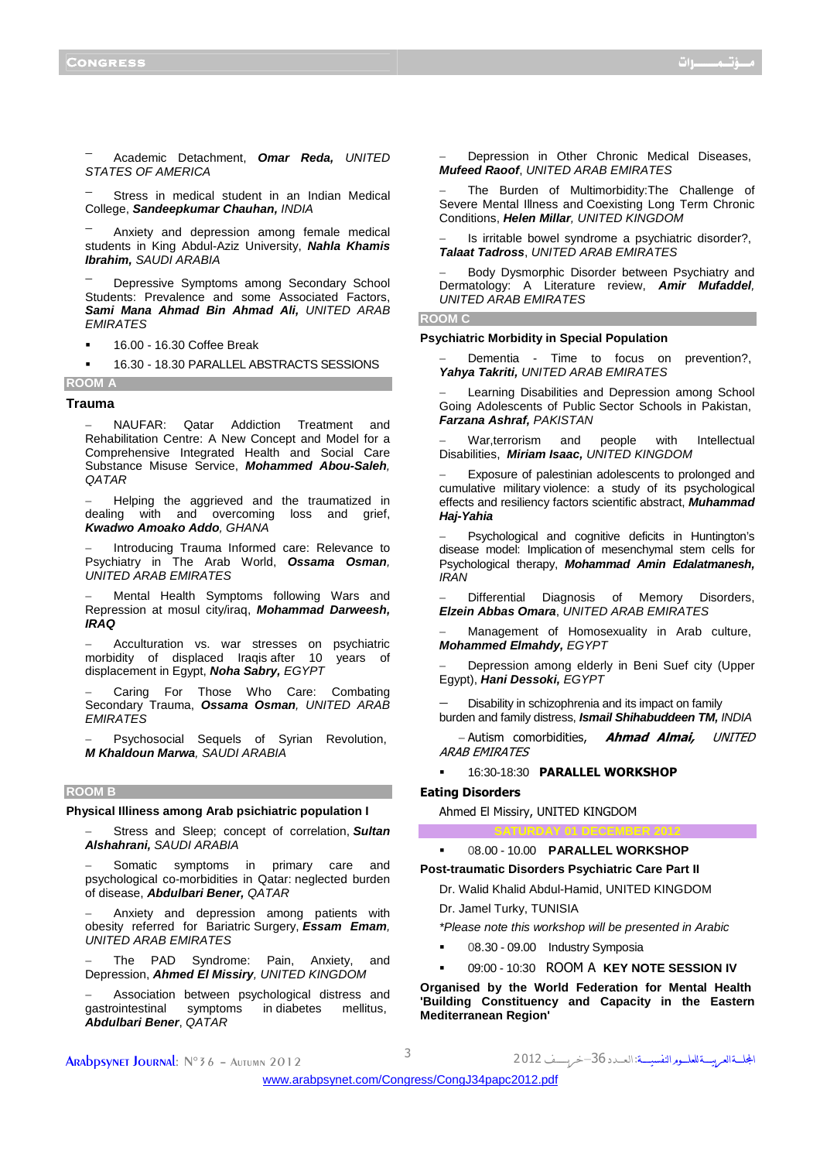<sup>−</sup> Academic Detachment, **Omar Reda,** UNITED STATES OF AMERICA

Stress in medical student in an Indian Medical College, **Sandeepkumar Chauhan,** INDIA

Anxiety and depression among female medical students in King Abdul-Aziz University, **Nahla Khamis Ibrahim,** SAUDI ARABIA

<sup>−</sup> Depressive Symptoms among Secondary School Students: Prevalence and some Associated Factors, **Sami Mana Ahmad Bin Ahmad Ali,** UNITED ARAB **EMIRATES** 

16.00 - 16.30 Coffee Break

16.30 - 18.30 PARALLEL ABSTRACTS SESSIONS

## **ROOM A Trauma**

− NAUFAR: Qatar Addiction Treatment and Rehabilitation Centre: A New Concept and Model for a Comprehensive Integrated Health and Social Care Substance Misuse Service, **Mohammed Abou-Saleh**, **OATAR** 

− Helping the aggrieved and the traumatized in dealing with and overcoming loss and grief, **Kwadwo Amoako Addo**, GHANA

Introducing Trauma Informed care: Relevance to Psychiatry in The Arab World, **Ossama Osman**, UNITED ARAB EMIRATES

− Mental Health Symptoms following Wars and Repression at mosul city/iraq, **Mohammad Darweesh, IRAQ** 

− Acculturation vs. war stresses on psychiatric morbidity of displaced Iraqis after 10 years of displacement in Egypt, **Noha Sabry,** EGYPT

− Caring For Those Who Care: Combating Secondary Trauma, **Ossama Osman**, UNITED ARAB **EMIRATES** 

− Psychosocial Sequels of Syrian Revolution, **M Khaldoun Marwa**, SAUDI ARABIA

#### **ROOM B**

#### **Physical Illiness among Arab psichiatric population I**

Stress and Sleep; concept of correlation, Sultan **Alshahrani,** SAUDI ARABIA

Somatic symptoms in primary care and psychological co-morbidities in Qatar: neglected burden of disease, **Abdulbari Bener,** QATAR

Anxiety and depression among patients with obesity referred for Bariatric Surgery, **Essam Emam**, UNITED ARAB EMIRATES

The PAD Syndrome: Pain, Anxiety, and Depression, **Ahmed El Missiry**, UNITED KINGDOM

Association between psychological distress and gastrointestinal symptoms in diabetes mellitus, **Abdulbari Bener**, QATAR

Depression in Other Chronic Medical Diseases, **Mufeed Raoof**, UNITED ARAB EMIRATES

The Burden of Multimorbidity:The Challenge of Severe Mental Illness and Coexisting Long Term Chronic Conditions, **Helen Millar**, UNITED KINGDOM

Is irritable bowel syndrome a psychiatric disorder?, **Talaat Tadross**, UNITED ARAB EMIRATES

Body Dysmorphic Disorder between Psychiatry and Dermatology: A Literature review, **Amir Mufaddel**, UNITED ARAB EMIRATES

#### **ROOM C**

## **Psychiatric Morbidity in Special Population**

Dementia - Time to focus on prevention?, **Yahya Takriti,** UNITED ARAB EMIRATES

Learning Disabilities and Depression among School Going Adolescents of Public Sector Schools in Pakistan, **Farzana Ashraf,** PAKISTAN

War,terrorism and people with Intellectual Disabilities, **Miriam Isaac,** UNITED KINGDOM

Exposure of palestinian adolescents to prolonged and cumulative military violence: a study of its psychological effects and resiliency factors scientific abstract, **Muhammad Haj-Yahia**

− Psychological and cognitive deficits in Huntington's disease model: Implication of mesenchymal stem cells for Psychological therapy, **Mohammad Amin Edalatmanesh,**  IRAN

Differential Diagnosis of Memory Disorders, **Elzein Abbas Omara**, UNITED ARAB EMIRATES

Management of Homosexuality in Arab culture, **Mohammed Elmahdy,** EGYPT

− Depression among elderly in Beni Suef city (Upper Egypt), **Hani Dessoki,** EGYPT

Disability in schizophrenia and its impact on family burden and family distress, **Ismail Shihabuddeen TM,** INDIA

− Autism comorbidities, **Ahmad Almai,** UNITED ARAB EMIRATES

16:30-18:30 PARALLEL WORKSHOP

## Eating Disorders

Ahmed El Missiry, UNITED KINGDOM

## 08.00 - 10.00 **PARALLEL WORKSHOP**

**Post-traumatic Disorders Psychiatric Care Part II** 

Dr. Walid Khalid Abdul-Hamid, UNITED KINGDOM Dr. Jamel Turky, TUNISIA

**SATURDAY 01 DECEMBER 2012** 

\*Please note this workshop will be presented in Arabic

- 08.30 09.00 Industry Symposia
- 09:00 10:30 ROOM A **KEY NOTE SESSION IV**

**Organised by the World Federation for Mental Health 'Building Constituency and Capacity in the Eastern Mediterranean Region'**

ARADDSYNET JOURNAL: N°36 - AUTUMN 2012